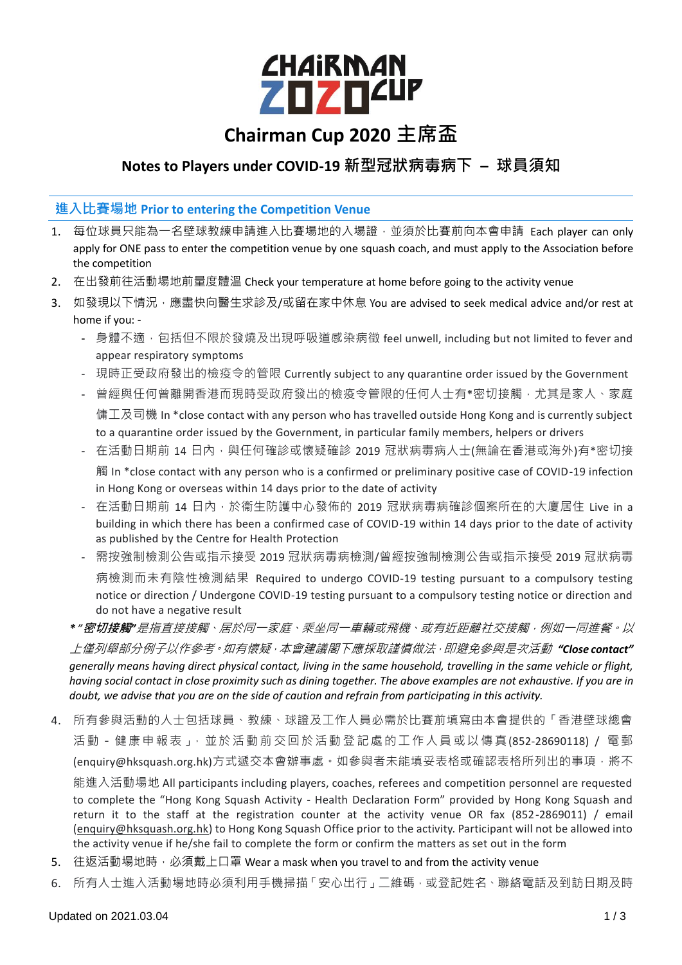# *CHAIRMAN* **ZOZO<sup>ZUP</sup>**

## **Chairman Cup 2020 主席盃**

### **Notes to Players under COVID-19 新型冠狀病毒病下 – 球員須知**

#### **進入比賽場地 Prior to entering the Competition Venue**

- 1. 每位球員只能為一名壁球教練申請進入比賽場地的入場證,並須於比賽前向本會申請 Each player can only apply for ONE pass to enter the competition venue by one squash coach, and must apply to the Association before the competition
- 2. 在出發前往活動場地前量度體溫 Check your temperature at home before going to the activity venue
- 3. 如發現以下情況,應盡快向醫生求診及/或留在家中休息 You are advised to seek medical advice and/or rest at home if you: -
	- 身體不適,包括但不限於發燒及出現呼吸道感染病徵 feel unwell, including but not limited to fever and appear respiratory symptoms
	- 現時正受政府發出的檢疫令的管限 Currently subject to any quarantine order issued by the Government
	- 曾經與任何曾離開香港而現時受政府發出的檢疫令管限的任何人士有\*密切接觸,尤其是家人、家庭 傭工及司機 In \*close contact with any person who has travelled outside Hong Kong and is currently subject to a quarantine order issued by the Government, in particular family members, helpers or drivers
	- 在活動日期前 14 日內,與任何確診或懷疑確診 2019 冠狀病毒病人士(無論在香港或海外)有\*密切接 觸 In \*close contact with any person who is a confirmed or preliminary positive case of COVID-19 infection in Hong Kong or overseas within 14 days prior to the date of activity
	- 在活動日期前 14 日内,於衞生防護中心發佈的 2019 冠狀病毒病確診個案所在的大廈居住 Live in a building in which there has been a confirmed case of COVID-19 within 14 days prior to the date of activity as published by the Centre for Health Protection
	- 需按強制檢測公告或指示接受 2019 冠狀病毒病檢測/曾經按強制檢測公告或指示接受 2019 冠狀病毒 病檢測而未有陰性檢測結果 Required to undergo COVID-19 testing pursuant to a compulsory testing notice or direction / Undergone COVID-19 testing pursuant to a compulsory testing notice or direction and do not have a negative result
	- *\* "***密切接觸***"*是指直接接觸、居於同一家庭、乘坐同一車輛或飛機、或有近距離社交接觸,例如一同進餐。以 上僅列舉部分例子以作參考。如有懷疑,本會建議閣下應採取謹慎做法,即避免參與是次活動 *"Close contact" generally means having direct physical contact, living in the same household, travelling in the same vehicle or flight, having social contact in close proximity such as dining together. The above examples are not exhaustive. If you are in doubt, we advise that you are on the side of caution and refrain from participating in this activity.*
- 4. 所有參與活動的人士包括球員、教練、球證及工作人員必需於比賽前填寫由本會提供的「香港壁球總會 活動-健康申報表」,並於活動前交回於活動登記處的工作人員或以傳真(852-28690118) / 電郵 (enquiry@hksquash.org.hk)方式遞交本會辦事處。如參與者未能填妥表格或確認表格所列出的事項,將不 能進入活動場地 All participants including players, coaches, referees and competition personnel are requested to complete the "Hong Kong Squash Activity - Health Declaration Form" provided by Hong Kong Squash and return it to the staff at the registration counter at the activity venue OR fax (852-2869011) / email [\(enquiry@hksquash.org.hk\)](mailto:enquiry@hksquash.org.hk) to Hong Kong Squash Office prior to the activity. Participant will not be allowed into the activity venue if he/she fail to complete the form or confirm the matters as set out in the form
- 5. 往返活動場地時,必須戴上口罩 Wear a mask when you travel to and from the activity venue
- 6. 所有人士進入活動場地時必須利用手機掃描「安心出行」二維碼,或登記姓名、聯絡電話及到訪日期及時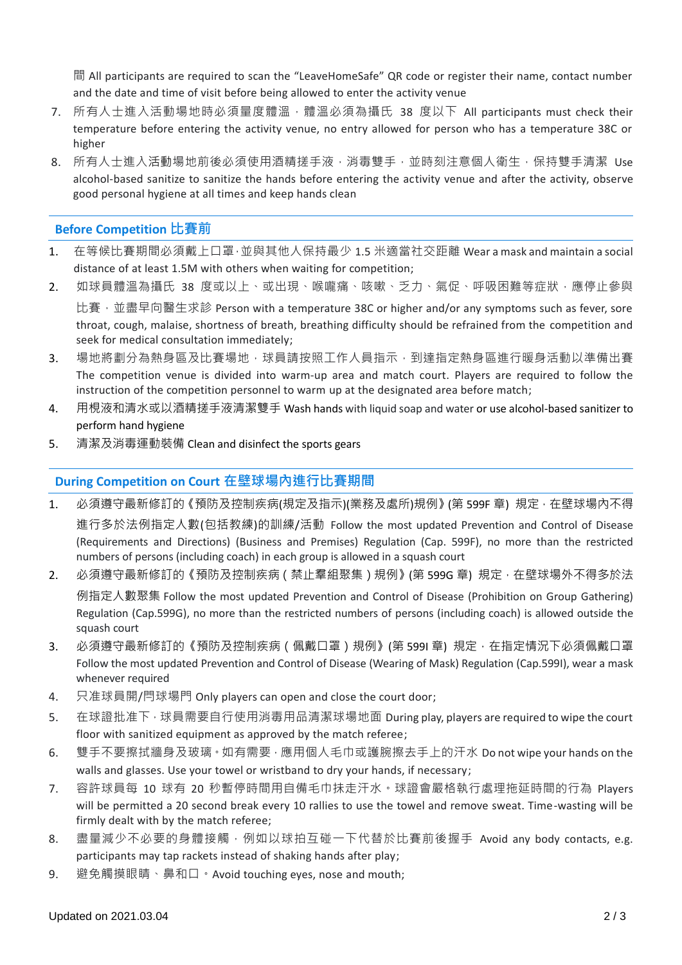間 All participants are required to scan the "LeaveHomeSafe" QR code or register their name, contact number and the date and time of visit before being allowed to enter the activity venue

- 7. 所有人士進入活動場地時必須量度體溫·體溫必須為攝氏 38 度以下 All participants must check their temperature before entering the activity venue, no entry allowed for person who has a temperature 38C or higher
- 8. 所有人士進入活動場地前後必須使用酒精搓手液,消毒雙手,並時刻注意個人衛生,保持雙手清潔 Use alcohol-based sanitize to sanitize the hands before entering the activity venue and after the activity, observe good personal hygiene at all times and keep hands clean

#### **Before Competition 比賽前**

- 1. 在等候比賽期間必須戴上口罩·並與其他人保持最少 1.5 米適當社交距離 Wear a mask and maintain a social distance of at least 1.5M with others when waiting for competition;
- 2. 如球員體溫為攝氏 38 度或以上、或出現、喉嚨痛、咳嗽、乏力、氣促、呼吸困難等症狀,應停止參與 比賽, 並盡早向醫生求診 Person with a temperature 38C or higher and/or any symptoms such as fever, sore throat, cough, malaise, shortness of breath, breathing difficulty should be refrained from the competition and seek for medical consultation immediately;
- 3. 場地將劃分為熱身區及比賽場地,球員請按照工作人員指示,到達指定熱身區進行暖身活動以準備出賽 The competition venue is divided into warm-up area and match court. Players are required to follow the instruction of the competition personnel to warm up at the designated area before match;
- 4. 用梘液和清水或以酒精搓手液清潔雙手 Wash hands with liquid soap and water or use alcohol-based sanitizer to perform hand hygiene
- 5. 清潔及消毒運動裝備 Clean and disinfect the sports gears

#### **During Competition on Court 在壁球場內進行比賽期間**

- 1. 必須遵守最新修訂的《預防及控制疾病(規定及指示)(業務及處所)規例》(第 599F 章) 規定, 在壁球場內不得 進行多於法例指定人數(包括教練)的訓練/活動 Follow the most updated Prevention and Control of Disease (Requirements and Directions) (Business and Premises) Regulation (Cap. 599F), no more than the restricted numbers of persons (including coach) in each group is allowed in a squash court
- 2. 必須遵守最新修訂的《預防及控制疾病 ( 禁止羣組聚集 ) 規例》(第 599G 章) 規定, 在壁球場外不得多於法 例指定人數聚集 Follow the most updated Prevention and Control of Disease (Prohibition on Group Gathering) Regulation (Cap.599G), no more than the restricted numbers of persons (including coach) is allowed outside the squash court
- 3. 必須遵守最新修訂的《預防及控制疾病(佩戴口罩)規例》(第 599I 章) 規定,在指定情況下必須佩戴口罩 Follow the most updated Prevention and Control of Disease (Wearing of Mask) Regulation (Cap.599I), wear a mask whenever required
- 4. 只准球員開/閂球場門 Only players can open and close the court door;
- 5. 在球證批准下,球員需要自行使用消毒用品清潔球場地面 During play, players are required to wipe the court floor with sanitized equipment as approved by the match referee;
- 6. 雙手不要擦拭牆身及玻璃。如有需要,應用個人毛巾或護腕擦去手上的汗水 Do not wipe your hands on the walls and glasses. Use your towel or wristband to dry your hands, if necessary;
- 7. 容許球員每 10 球有 20 秒暫停時間用自備毛巾抺走汗水。球證會嚴格執行處理拖延時間的行為 Players will be permitted a 20 second break every 10 rallies to use the towel and remove sweat. Time-wasting will be firmly dealt with by the match referee;
- 8. 盡量減少不必要的身體接觸,例如以球拍互碰一下代替於比賽前後握手 Avoid any body contacts, e.g. participants may tap rackets instead of shaking hands after play;
- 9. 避免觸摸眼睛、鼻和口。Avoid touching eyes, nose and mouth;